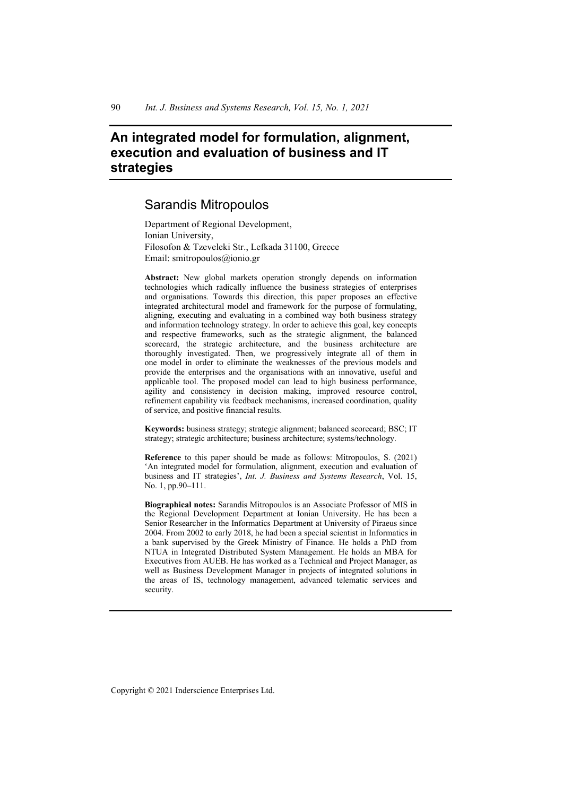# **An integrated model for formulation, alignment, execution and evaluation of business and IT strategies**

## Sarandis Mitropoulos

Department of Regional Development, Ionian University, Filosofon & Tzeveleki Str., Lefkada 31100, Greece Email: smitropoulos@ionio.gr

**Abstract:** New global markets operation strongly depends on information technologies which radically influence the business strategies of enterprises and organisations. Towards this direction, this paper proposes an effective integrated architectural model and framework for the purpose of formulating, aligning, executing and evaluating in a combined way both business strategy and information technology strategy. In order to achieve this goal, key concepts and respective frameworks, such as the strategic alignment, the balanced scorecard, the strategic architecture, and the business architecture are thoroughly investigated. Then, we progressively integrate all of them in one model in order to eliminate the weaknesses of the previous models and provide the enterprises and the organisations with an innovative, useful and applicable tool. The proposed model can lead to high business performance, agility and consistency in decision making, improved resource control, refinement capability via feedback mechanisms, increased coordination, quality of service, and positive financial results.

**Keywords:** business strategy; strategic alignment; balanced scorecard; BSC; IT strategy; strategic architecture; business architecture; systems/technology.

**Reference** to this paper should be made as follows: Mitropoulos, S. (2021) 'An integrated model for formulation, alignment, execution and evaluation of business and IT strategies', *Int. J. Business and Systems Research*, Vol. 15, No. 1, pp.90–111.

**Biographical notes:** Sarandis Mitropoulos is an Associate Professor of MIS in the Regional Development Department at Ionian University. He has been a Senior Researcher in the Informatics Department at University of Piraeus since 2004. From 2002 to early 2018, he had been a special scientist in Informatics in a bank supervised by the Greek Ministry of Finance. He holds a PhD from NTUA in Integrated Distributed System Management. He holds an MBA for Executives from AUEB. He has worked as a Technical and Project Manager, as well as Business Development Manager in projects of integrated solutions in the areas of IS, technology management, advanced telematic services and security.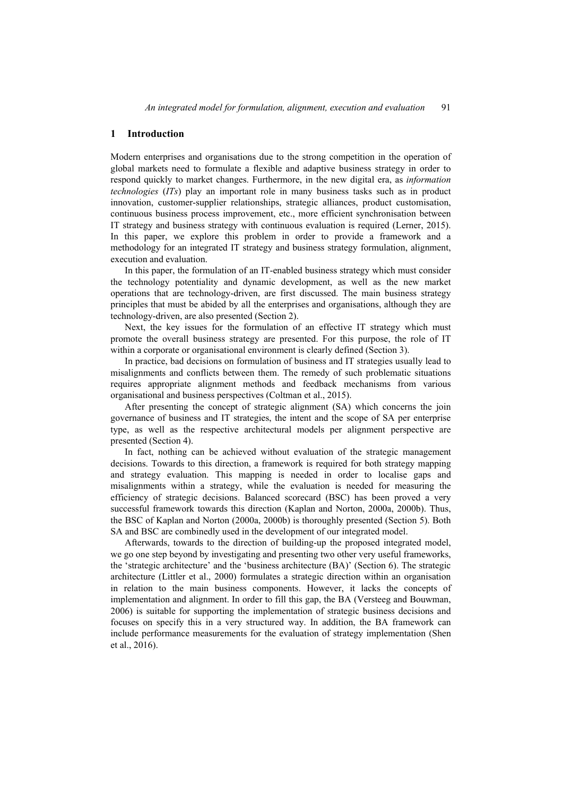#### **1 Introduction**

Modern enterprises and organisations due to the strong competition in the operation of global markets need to formulate a flexible and adaptive business strategy in order to respond quickly to market changes. Furthermore, in the new digital era, as *information technologies* (*ITs*) play an important role in many business tasks such as in product innovation, customer-supplier relationships, strategic alliances, product customisation, continuous business process improvement, etc., more efficient synchronisation between IT strategy and business strategy with continuous evaluation is required (Lerner, 2015). In this paper, we explore this problem in order to provide a framework and a methodology for an integrated IT strategy and business strategy formulation, alignment, execution and evaluation.

In this paper, the formulation of an IT-enabled business strategy which must consider the technology potentiality and dynamic development, as well as the new market operations that are technology-driven, are first discussed. The main business strategy principles that must be abided by all the enterprises and organisations, although they are technology-driven, are also presented (Section 2).

Next, the key issues for the formulation of an effective IT strategy which must promote the overall business strategy are presented. For this purpose, the role of IT within a corporate or organisational environment is clearly defined (Section 3).

In practice, bad decisions on formulation of business and IT strategies usually lead to misalignments and conflicts between them. The remedy of such problematic situations requires appropriate alignment methods and feedback mechanisms from various organisational and business perspectives (Coltman et al., 2015).

After presenting the concept of strategic alignment (SA) which concerns the join governance of business and IT strategies, the intent and the scope of SA per enterprise type, as well as the respective architectural models per alignment perspective are presented (Section 4).

In fact, nothing can be achieved without evaluation of the strategic management decisions. Towards to this direction, a framework is required for both strategy mapping and strategy evaluation. This mapping is needed in order to localise gaps and misalignments within a strategy, while the evaluation is needed for measuring the efficiency of strategic decisions. Balanced scorecard (BSC) has been proved a very successful framework towards this direction (Kaplan and Norton, 2000a, 2000b). Thus, the BSC of Kaplan and Norton (2000a, 2000b) is thoroughly presented (Section 5). Both SA and BSC are combinedly used in the development of our integrated model.

Afterwards, towards to the direction of building-up the proposed integrated model, we go one step beyond by investigating and presenting two other very useful frameworks, the 'strategic architecture' and the 'business architecture (BA)' (Section 6). The strategic architecture (Littler et al., 2000) formulates a strategic direction within an organisation in relation to the main business components. However, it lacks the concepts of implementation and alignment. In order to fill this gap, the BA (Versteeg and Bouwman, 2006) is suitable for supporting the implementation of strategic business decisions and focuses on specify this in a very structured way. In addition, the BA framework can include performance measurements for the evaluation of strategy implementation (Shen et al., 2016).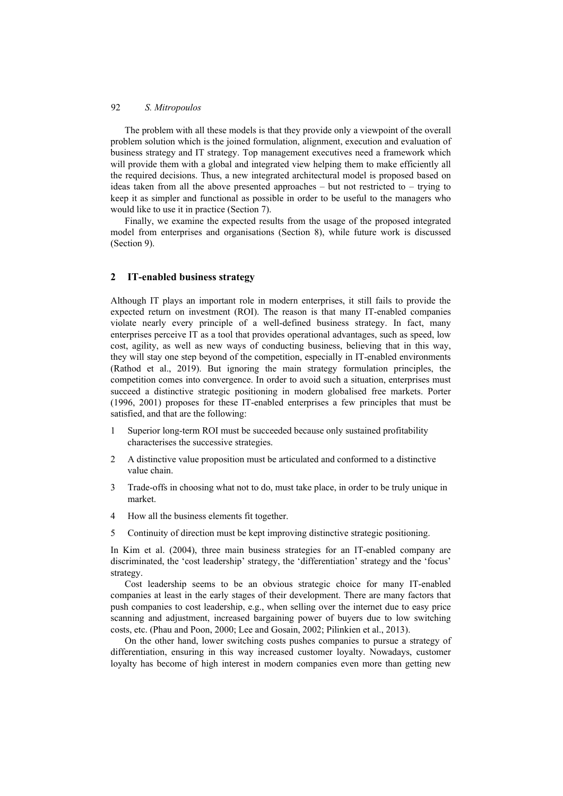The problem with all these models is that they provide only a viewpoint of the overall problem solution which is the joined formulation, alignment, execution and evaluation of business strategy and IT strategy. Top management executives need a framework which will provide them with a global and integrated view helping them to make efficiently all the required decisions. Thus, a new integrated architectural model is proposed based on ideas taken from all the above presented approaches  $-$  but not restricted to  $-$  trying to keep it as simpler and functional as possible in order to be useful to the managers who would like to use it in practice (Section 7).

Finally, we examine the expected results from the usage of the proposed integrated model from enterprises and organisations (Section 8), while future work is discussed (Section 9).

## **2 IT-enabled business strategy**

Although IT plays an important role in modern enterprises, it still fails to provide the expected return on investment (ROI). The reason is that many IT-enabled companies violate nearly every principle of a well-defined business strategy. In fact, many enterprises perceive IT as a tool that provides operational advantages, such as speed, low cost, agility, as well as new ways of conducting business, believing that in this way, they will stay one step beyond of the competition, especially in IT-enabled environments (Rathod et al., 2019). But ignoring the main strategy formulation principles, the competition comes into convergence. In order to avoid such a situation, enterprises must succeed a distinctive strategic positioning in modern globalised free markets. Porter (1996, 2001) proposes for these IT-enabled enterprises a few principles that must be satisfied, and that are the following:

- 1 Superior long-term ROI must be succeeded because only sustained profitability characterises the successive strategies.
- 2 A distinctive value proposition must be articulated and conformed to a distinctive value chain.
- 3 Trade-offs in choosing what not to do, must take place, in order to be truly unique in market.
- 4 How all the business elements fit together.
- 5 Continuity of direction must be kept improving distinctive strategic positioning.

In Kim et al. (2004), three main business strategies for an IT-enabled company are discriminated, the 'cost leadership' strategy, the 'differentiation' strategy and the 'focus' strategy.

Cost leadership seems to be an obvious strategic choice for many IT-enabled companies at least in the early stages of their development. There are many factors that push companies to cost leadership, e.g., when selling over the internet due to easy price scanning and adjustment, increased bargaining power of buyers due to low switching costs, etc. (Phau and Poon, 2000; Lee and Gosain, 2002; Pilinkien et al., 2013).

On the other hand, lower switching costs pushes companies to pursue a strategy of differentiation, ensuring in this way increased customer loyalty. Nowadays, customer loyalty has become of high interest in modern companies even more than getting new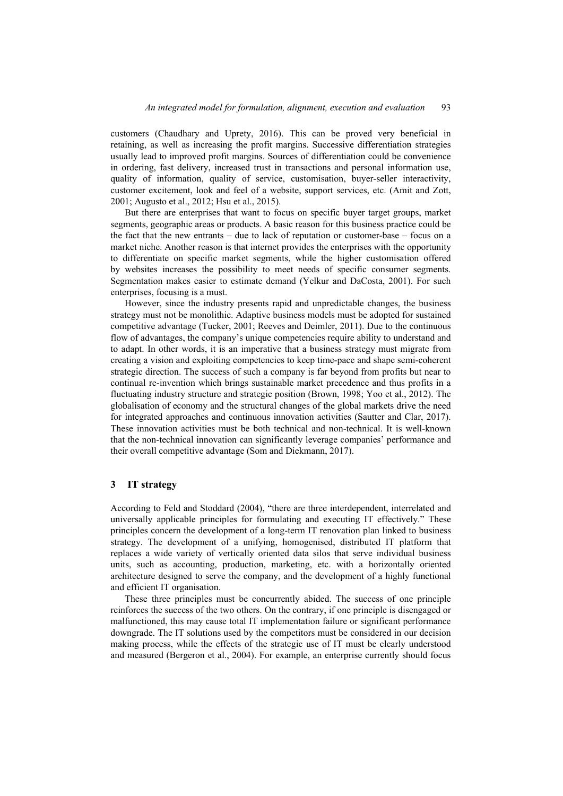customers (Chaudhary and Uprety, 2016). This can be proved very beneficial in retaining, as well as increasing the profit margins. Successive differentiation strategies usually lead to improved profit margins. Sources of differentiation could be convenience in ordering, fast delivery, increased trust in transactions and personal information use, quality of information, quality of service, customisation, buyer-seller interactivity, customer excitement, look and feel of a website, support services, etc. (Amit and Zott, 2001; Augusto et al., 2012; Hsu et al., 2015).

But there are enterprises that want to focus on specific buyer target groups, market segments, geographic areas or products. A basic reason for this business practice could be the fact that the new entrants – due to lack of reputation or customer-base – focus on a market niche. Another reason is that internet provides the enterprises with the opportunity to differentiate on specific market segments, while the higher customisation offered by websites increases the possibility to meet needs of specific consumer segments. Segmentation makes easier to estimate demand (Yelkur and DaCosta, 2001). For such enterprises, focusing is a must.

However, since the industry presents rapid and unpredictable changes, the business strategy must not be monolithic. Adaptive business models must be adopted for sustained competitive advantage (Tucker, 2001; Reeves and Deimler, 2011). Due to the continuous flow of advantages, the company's unique competencies require ability to understand and to adapt. In other words, it is an imperative that a business strategy must migrate from creating a vision and exploiting competencies to keep time-pace and shape semi-coherent strategic direction. The success of such a company is far beyond from profits but near to continual re-invention which brings sustainable market precedence and thus profits in a fluctuating industry structure and strategic position (Brown, 1998; Yoo et al., 2012). The globalisation of economy and the structural changes of the global markets drive the need for integrated approaches and continuous innovation activities (Sautter and Clar, 2017). These innovation activities must be both technical and non-technical. It is well-known that the non-technical innovation can significantly leverage companies' performance and their overall competitive advantage (Som and Diekmann, 2017).

#### **3 IT strategy**

According to Feld and Stoddard (2004), "there are three interdependent, interrelated and universally applicable principles for formulating and executing IT effectively." These principles concern the development of a long-term IT renovation plan linked to business strategy. The development of a unifying, homogenised, distributed IT platform that replaces a wide variety of vertically oriented data silos that serve individual business units, such as accounting, production, marketing, etc. with a horizontally oriented architecture designed to serve the company, and the development of a highly functional and efficient IT organisation.

These three principles must be concurrently abided. The success of one principle reinforces the success of the two others. On the contrary, if one principle is disengaged or malfunctioned, this may cause total IT implementation failure or significant performance downgrade. The IT solutions used by the competitors must be considered in our decision making process, while the effects of the strategic use of IT must be clearly understood and measured (Bergeron et al., 2004). For example, an enterprise currently should focus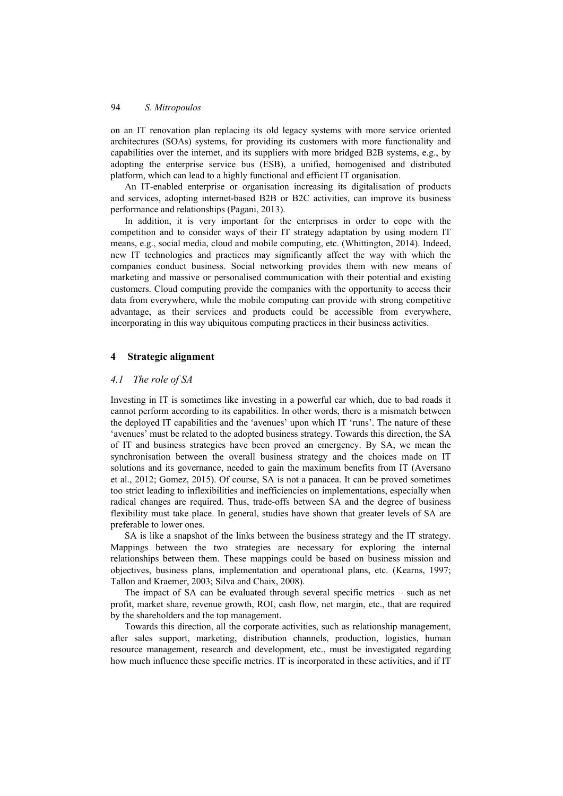on an IT renovation plan replacing its old legacy systems with more service oriented architectures (SOAs) systems, for providing its customers with more functionality and capabilities over the internet, and its suppliers with more bridged B2B systems, e.g., by adopting the enterprise service bus (ESB), a unified, homogenised and distributed platform, which can lead to a highly functional and efficient IT organisation.

An IT-enabled enterprise or organisation increasing its digitalisation of products and services, adopting internet-based B2B or B2C activities, can improve its business performance and relationships (Pagani, 2013).

In addition, it is very important for the enterprises in order to cope with the competition and to consider ways of their IT strategy adaptation by using modern IT means, e.g., social media, cloud and mobile computing, etc. (Whittington, 2014). Indeed, new IT technologies and practices may significantly affect the way with which the companies conduct business. Social networking provides them with new means of marketing and massive or personalised communication with their potential and existing customers. Cloud computing provide the companies with the opportunity to access their data from everywhere, while the mobile computing can provide with strong competitive advantage, as their services and products could be accessible from everywhere, incorporating in this way ubiquitous computing practices in their business activities.

## **4 Strategic alignment**

#### *4.1 The role of SA*

Investing in IT is sometimes like investing in a powerful car which, due to bad roads it cannot perform according to its capabilities. In other words, there is a mismatch between the deployed ΙT capabilities and the 'avenues' upon which IT 'runs'. The nature of these 'avenues' must be related to the adopted business strategy. Towards this direction, the SA of IT and business strategies have been proved an emergency. By SA, we mean the synchronisation between the overall business strategy and the choices made on IT solutions and its governance, needed to gain the maximum benefits from IT (Aversano et al., 2012; Gomez, 2015). Of course, SA is not a panacea. It can be proved sometimes too strict leading to inflexibilities and inefficiencies on implementations, especially when radical changes are required. Thus, trade-offs between SA and the degree of business flexibility must take place. In general, studies have shown that greater levels of SA are preferable to lower ones.

SA is like a snapshot of the links between the business strategy and the IT strategy. Mappings between the two strategies are necessary for exploring the internal relationships between them. These mappings could be based on business mission and objectives, business plans, implementation and operational plans, etc. (Kearns, 1997; Tallon and Kraemer, 2003; Silva and Chaix, 2008).

The impact of SA can be evaluated through several specific metrics – such as net profit, market share, revenue growth, ROI, cash flow, net margin, etc., that are required by the shareholders and the top management.

Towards this direction, all the corporate activities, such as relationship management, after sales support, marketing, distribution channels, production, logistics, human resource management, research and development, etc., must be investigated regarding how much influence these specific metrics. IT is incorporated in these activities, and if IT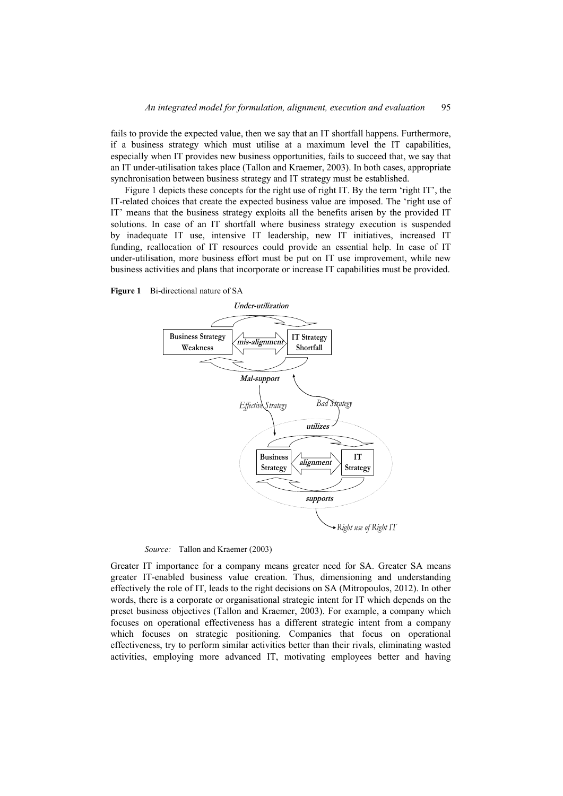fails to provide the expected value, then we say that an IT shortfall happens. Furthermore, if a business strategy which must utilise at a maximum level the IT capabilities, especially when IT provides new business opportunities, fails to succeed that, we say that an IT under-utilisation takes place (Tallon and Kraemer, 2003). In both cases, appropriate synchronisation between business strategy and IT strategy must be established.

Figure 1 depicts these concepts for the right use of right IT. By the term 'right IT', the IT-related choices that create the expected business value are imposed. The 'right use of IT' means that the business strategy exploits all the benefits arisen by the provided IT solutions. In case of an IT shortfall where business strategy execution is suspended by inadequate IT use, intensive IT leadership, new IT initiatives, increased IT funding, reallocation of IT resources could provide an essential help. In case of IT under-utilisation, more business effort must be put on IT use improvement, while new business activities and plans that incorporate or increase IT capabilities must be provided.





*Source:* Tallon and Kraemer (2003)

Greater IT importance for a company means greater need for SA. Greater SA means greater IT-enabled business value creation. Thus, dimensioning and understanding effectively the role of IT, leads to the right decisions on SA (Mitropoulos, 2012). In other words, there is a corporate or organisational strategic intent for IT which depends on the preset business objectives (Tallon and Kraemer, 2003). For example, a company which focuses on operational effectiveness has a different strategic intent from a company which focuses on strategic positioning. Companies that focus on operational effectiveness, try to perform similar activities better than their rivals, eliminating wasted activities, employing more advanced IT, motivating employees better and having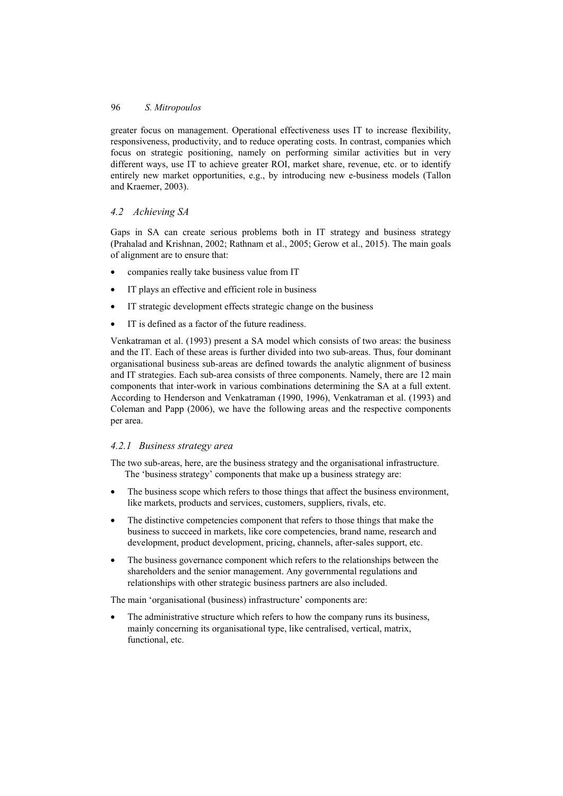greater focus on management. Operational effectiveness uses IT to increase flexibility, responsiveness, productivity, and to reduce operating costs. In contrast, companies which focus on strategic positioning, namely on performing similar activities but in very different ways, use IT to achieve greater ROI, market share, revenue, etc. or to identify entirely new market opportunities, e.g., by introducing new e-business models (Tallon and Kraemer, 2003).

## *4.2 Achieving SA*

Gaps in SA can create serious problems both in IT strategy and business strategy (Prahalad and Krishnan, 2002; Rathnam et al., 2005; Gerow et al., 2015). The main goals of alignment are to ensure that:

- companies really take business value from IT
- IT plays an effective and efficient role in business
- IT strategic development effects strategic change on the business
- IT is defined as a factor of the future readiness.

Venkatraman et al. (1993) present a SA model which consists of two areas: the business and the IT. Each of these areas is further divided into two sub-areas. Thus, four dominant organisational business sub-areas are defined towards the analytic alignment of business and IT strategies. Each sub-area consists of three components. Namely, there are 12 main components that inter-work in various combinations determining the SA at a full extent. According to Henderson and Venkatraman (1990, 1996), Venkatraman et al. (1993) and Coleman and Papp (2006), we have the following areas and the respective components per area.

## *4.2.1 Business strategy area*

The two sub-areas, here, are the business strategy and the organisational infrastructure. The 'business strategy' components that make up a business strategy are:

- The business scope which refers to those things that affect the business environment, like markets, products and services, customers, suppliers, rivals, etc.
- The distinctive competencies component that refers to those things that make the business to succeed in markets, like core competencies, brand name, research and development, product development, pricing, channels, after-sales support, etc.
- The business governance component which refers to the relationships between the shareholders and the senior management. Any governmental regulations and relationships with other strategic business partners are also included.

The main 'organisational (business) infrastructure' components are:

The administrative structure which refers to how the company runs its business, mainly concerning its organisational type, like centralised, vertical, matrix, functional, etc.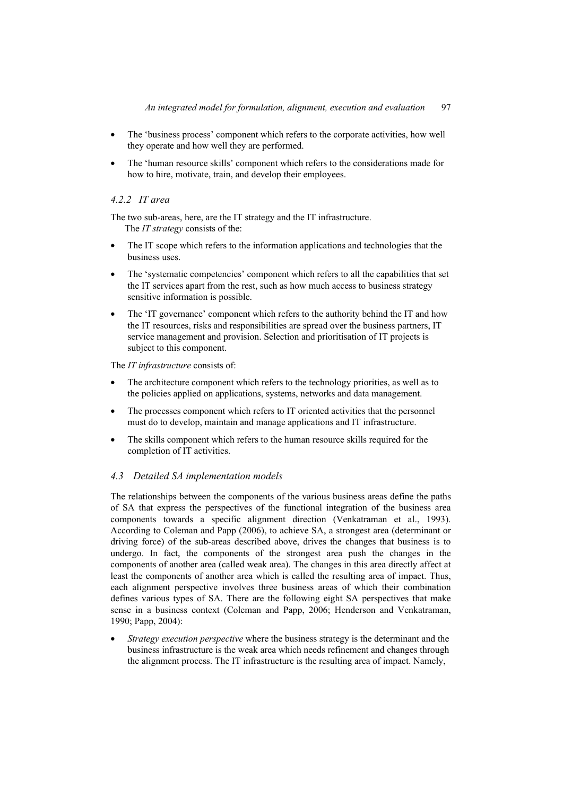- The 'business process' component which refers to the corporate activities, how well they operate and how well they are performed.
- The 'human resource skills' component which refers to the considerations made for how to hire, motivate, train, and develop their employees.

## *4.2.2 IT area*

The two sub-areas, here, are the IT strategy and the IT infrastructure. The *IT strategy* consists of the:

- The IT scope which refers to the information applications and technologies that the business uses.
- The 'systematic competencies' component which refers to all the capabilities that set the IT services apart from the rest, such as how much access to business strategy sensitive information is possible.
- The 'IT governance' component which refers to the authority behind the IT and how the IT resources, risks and responsibilities are spread over the business partners, IT service management and provision. Selection and prioritisation of IT projects is subject to this component.

## The *IT infrastructure* consists of:

- The architecture component which refers to the technology priorities, as well as to the policies applied on applications, systems, networks and data management.
- The processes component which refers to IT oriented activities that the personnel must do to develop, maintain and manage applications and IT infrastructure.
- The skills component which refers to the human resource skills required for the completion of IT activities.

## *4.3 Detailed SA implementation models*

The relationships between the components of the various business areas define the paths of SA that express the perspectives of the functional integration of the business area components towards a specific alignment direction (Venkatraman et al., 1993). According to Coleman and Papp (2006), to achieve SA, a strongest area (determinant or driving force) of the sub-areas described above, drives the changes that business is to undergo. In fact, the components of the strongest area push the changes in the components of another area (called weak area). The changes in this area directly affect at least the components of another area which is called the resulting area of impact. Thus, each alignment perspective involves three business areas of which their combination defines various types of SA. There are the following eight SA perspectives that make sense in a business context (Coleman and Papp, 2006; Henderson and Venkatraman, 1990; Papp, 2004):

• *Strategy execution perspective* where the business strategy is the determinant and the business infrastructure is the weak area which needs refinement and changes through the alignment process. The IT infrastructure is the resulting area of impact. Namely,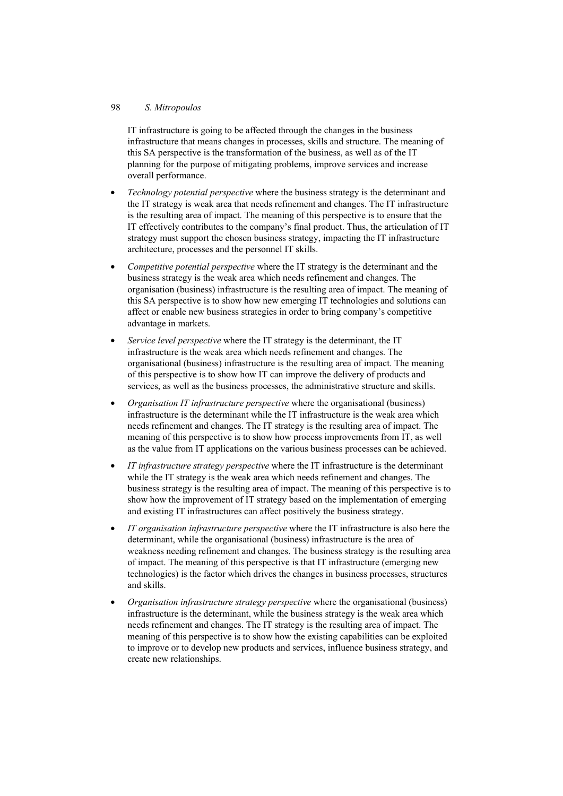### 98 *S. Mitropoulos*

IT infrastructure is going to be affected through the changes in the business infrastructure that means changes in processes, skills and structure. The meaning of this SA perspective is the transformation of the business, as well as of the IT planning for the purpose of mitigating problems, improve services and increase overall performance.

- *Technology potential perspective* where the business strategy is the determinant and the IT strategy is weak area that needs refinement and changes. The IT infrastructure is the resulting area of impact. The meaning of this perspective is to ensure that the IT effectively contributes to the company's final product. Thus, the articulation of IT strategy must support the chosen business strategy, impacting the IT infrastructure architecture, processes and the personnel IT skills.
- *Competitive potential perspective* where the IT strategy is the determinant and the business strategy is the weak area which needs refinement and changes. The organisation (business) infrastructure is the resulting area of impact. The meaning of this SA perspective is to show how new emerging IT technologies and solutions can affect or enable new business strategies in order to bring company's competitive advantage in markets.
- *Service level perspective* where the IT strategy is the determinant, the IT infrastructure is the weak area which needs refinement and changes. The organisational (business) infrastructure is the resulting area of impact. The meaning of this perspective is to show how IT can improve the delivery of products and services, as well as the business processes, the administrative structure and skills.
- *Organisation IT infrastructure perspective* where the organisational (business) infrastructure is the determinant while the IT infrastructure is the weak area which needs refinement and changes. The IT strategy is the resulting area of impact. The meaning of this perspective is to show how process improvements from IT, as well as the value from IT applications on the various business processes can be achieved.
- *IT infrastructure strategy perspective* where the IT infrastructure is the determinant while the IT strategy is the weak area which needs refinement and changes. The business strategy is the resulting area of impact. The meaning of this perspective is to show how the improvement of IT strategy based on the implementation of emerging and existing IT infrastructures can affect positively the business strategy.
- *IT organisation infrastructure perspective* where the IT infrastructure is also here the determinant, while the organisational (business) infrastructure is the area of weakness needing refinement and changes. The business strategy is the resulting area of impact. The meaning of this perspective is that IT infrastructure (emerging new technologies) is the factor which drives the changes in business processes, structures and skills.
- *Organisation infrastructure strategy perspective* where the organisational (business) infrastructure is the determinant, while the business strategy is the weak area which needs refinement and changes. The IT strategy is the resulting area of impact. The meaning of this perspective is to show how the existing capabilities can be exploited to improve or to develop new products and services, influence business strategy, and create new relationships.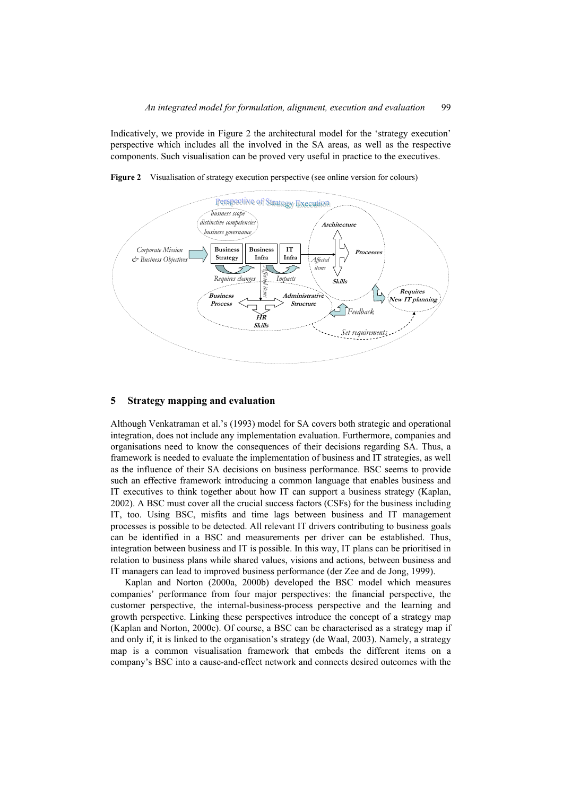Indicatively, we provide in Figure 2 the architectural model for the 'strategy execution' perspective which includes all the involved in the SA areas, as well as the respective components. Such visualisation can be proved very useful in practice to the executives.





#### **5 Strategy mapping and evaluation**

Although Venkatraman et al.'s (1993) model for SA covers both strategic and operational integration, does not include any implementation evaluation. Furthermore, companies and organisations need to know the consequences of their decisions regarding SA. Thus, a framework is needed to evaluate the implementation of business and IT strategies, as well as the influence of their SA decisions on business performance. BSC seems to provide such an effective framework introducing a common language that enables business and IT executives to think together about how IT can support a business strategy (Kaplan, 2002). A BSC must cover all the crucial success factors (CSFs) for the business including IT, too. Using BSC, misfits and time lags between business and IT management processes is possible to be detected. All relevant IT drivers contributing to business goals can be identified in a BSC and measurements per driver can be established. Thus, integration between business and IT is possible. In this way, IT plans can be prioritised in relation to business plans while shared values, visions and actions, between business and IT managers can lead to improved business performance (der Zee and de Jong, 1999).

Kaplan and Norton (2000a, 2000b) developed the BSC model which measures companies' performance from four major perspectives: the financial perspective, the customer perspective, the internal-business-process perspective and the learning and growth perspective. Linking these perspectives introduce the concept of a strategy map (Kaplan and Norton, 2000c). Of course, a BSC can be characterised as a strategy map if and only if, it is linked to the organisation's strategy (de Waal, 2003). Namely, a strategy map is a common visualisation framework that embeds the different items on a company's BSC into a cause-and-effect network and connects desired outcomes with the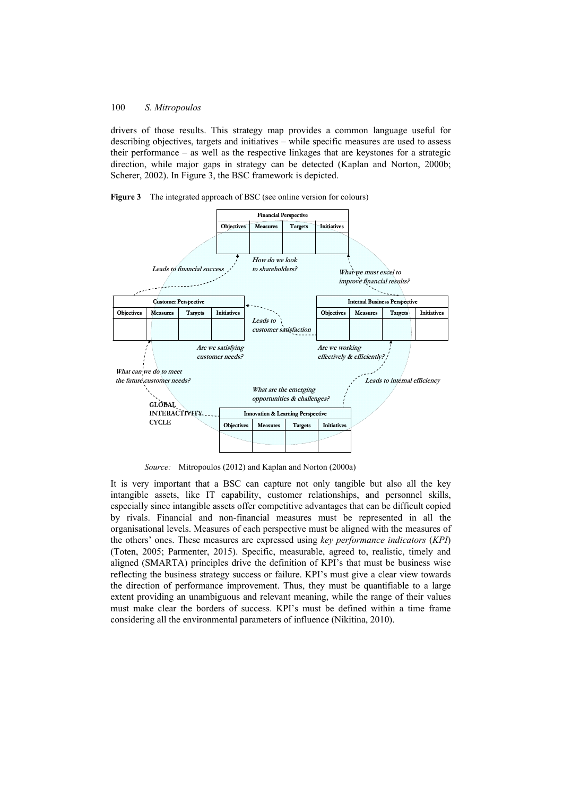drivers of those results. This strategy map provides a common language useful for describing objectives, targets and initiatives – while specific measures are used to assess their performance – as well as the respective linkages that are keystones for a strategic direction, while major gaps in strategy can be detected (Kaplan and Norton, 2000b; Scherer, 2002). In Figure 3, the BSC framework is depicted.





*Source:* Mitropoulos (2012) and Kaplan and Norton (2000a)

It is very important that a BSC can capture not only tangible but also all the key intangible assets, like IT capability, customer relationships, and personnel skills, especially since intangible assets offer competitive advantages that can be difficult copied by rivals. Financial and non-financial measures must be represented in all the organisational levels. Measures of each perspective must be aligned with the measures of the others' ones. These measures are expressed using *key performance indicators* (*KPI*) (Toten, 2005; Parmenter, 2015). Specific, measurable, agreed to, realistic, timely and aligned (SMARTA) principles drive the definition of KPI's that must be business wise reflecting the business strategy success or failure. KPI's must give a clear view towards the direction of performance improvement. Thus, they must be quantifiable to a large extent providing an unambiguous and relevant meaning, while the range of their values must make clear the borders of success. KPI's must be defined within a time frame considering all the environmental parameters of influence (Nikitina, 2010).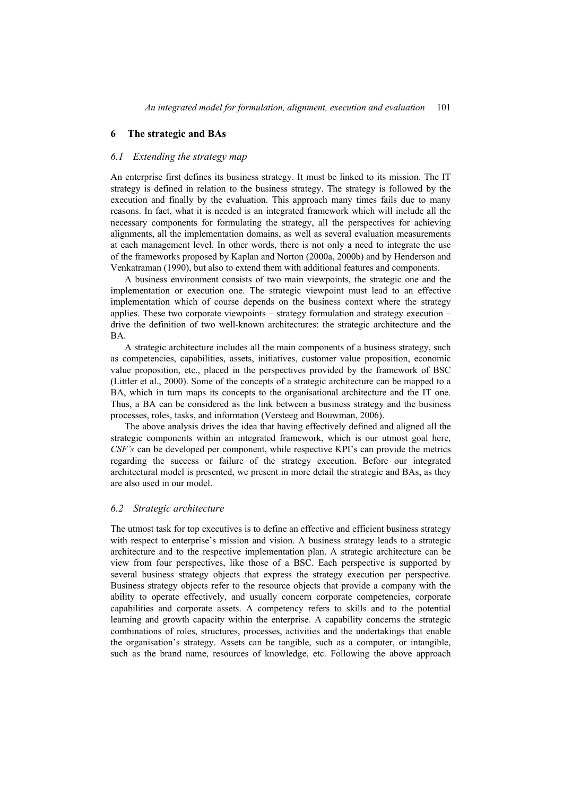#### **6 The strategic and BAs**

#### *6.1 Extending the strategy map*

An enterprise first defines its business strategy. It must be linked to its mission. The IT strategy is defined in relation to the business strategy. The strategy is followed by the execution and finally by the evaluation. This approach many times fails due to many reasons. In fact, what it is needed is an integrated framework which will include all the necessary components for formulating the strategy, all the perspectives for achieving alignments, all the implementation domains, as well as several evaluation measurements at each management level. In other words, there is not only a need to integrate the use of the frameworks proposed by Kaplan and Norton (2000a, 2000b) and by Henderson and Venkatraman (1990), but also to extend them with additional features and components.

A business environment consists of two main viewpoints, the strategic one and the implementation or execution one. The strategic viewpoint must lead to an effective implementation which of course depends on the business context where the strategy applies. These two corporate viewpoints – strategy formulation and strategy execution – drive the definition of two well-known architectures: the strategic architecture and the BA.

A strategic architecture includes all the main components of a business strategy, such as competencies, capabilities, assets, initiatives, customer value proposition, economic value proposition, etc., placed in the perspectives provided by the framework of BSC (Littler et al., 2000). Some of the concepts of a strategic architecture can be mapped to a BA, which in turn maps its concepts to the organisational architecture and the IT one. Thus, a BA can be considered as the link between a business strategy and the business processes, roles, tasks, and information (Versteeg and Bouwman, 2006).

The above analysis drives the idea that having effectively defined and aligned all the strategic components within an integrated framework, which is our utmost goal here, *CSF's* can be developed per component, while respective KPI's can provide the metrics regarding the success or failure of the strategy execution. Before our integrated architectural model is presented, we present in more detail the strategic and BAs, as they are also used in our model.

#### *6.2 Strategic architecture*

The utmost task for top executives is to define an effective and efficient business strategy with respect to enterprise's mission and vision. A business strategy leads to a strategic architecture and to the respective implementation plan. A strategic architecture can be view from four perspectives, like those of a BSC. Each perspective is supported by several business strategy objects that express the strategy execution per perspective. Business strategy objects refer to the resource objects that provide a company with the ability to operate effectively, and usually concern corporate competencies, corporate capabilities and corporate assets. A competency refers to skills and to the potential learning and growth capacity within the enterprise. A capability concerns the strategic combinations of roles, structures, processes, activities and the undertakings that enable the organisation's strategy. Assets can be tangible, such as a computer, or intangible, such as the brand name, resources of knowledge, etc. Following the above approach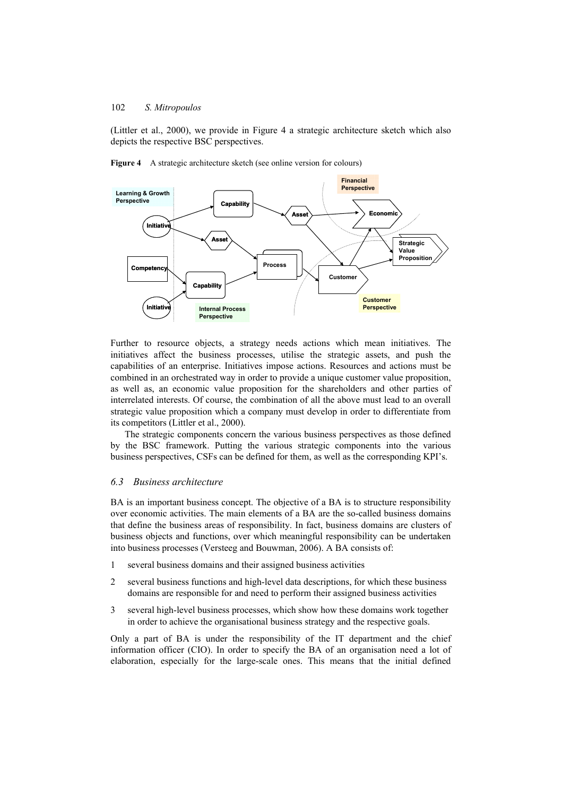(Littler et al., 2000), we provide in Figure 4 a strategic architecture sketch which also depicts the respective BSC perspectives.



**Figure 4** A strategic architecture sketch (see online version for colours)

Further to resource objects, a strategy needs actions which mean initiatives. The initiatives affect the business processes, utilise the strategic assets, and push the capabilities of an enterprise. Initiatives impose actions. Resources and actions must be combined in an orchestrated way in order to provide a unique customer value proposition, as well as, an economic value proposition for the shareholders and other parties of interrelated interests. Of course, the combination of all the above must lead to an overall strategic value proposition which a company must develop in order to differentiate from its competitors (Littler et al., 2000).

The strategic components concern the various business perspectives as those defined by the BSC framework. Putting the various strategic components into the various business perspectives, CSFs can be defined for them, as well as the corresponding KPI's.

### *6.3 Business architecture*

BA is an important business concept. The objective of a BA is to structure responsibility over economic activities. The main elements of a BA are the so-called business domains that define the business areas of responsibility. In fact, business domains are clusters of business objects and functions, over which meaningful responsibility can be undertaken into business processes (Versteeg and Bouwman, 2006). A BA consists of:

- 1 several business domains and their assigned business activities
- 2 several business functions and high-level data descriptions, for which these business domains are responsible for and need to perform their assigned business activities
- 3 several high-level business processes, which show how these domains work together in order to achieve the organisational business strategy and the respective goals.

Only a part of BA is under the responsibility of the IT department and the chief information officer (CIO). In order to specify the BA of an organisation need a lot of elaboration, especially for the large-scale ones. This means that the initial defined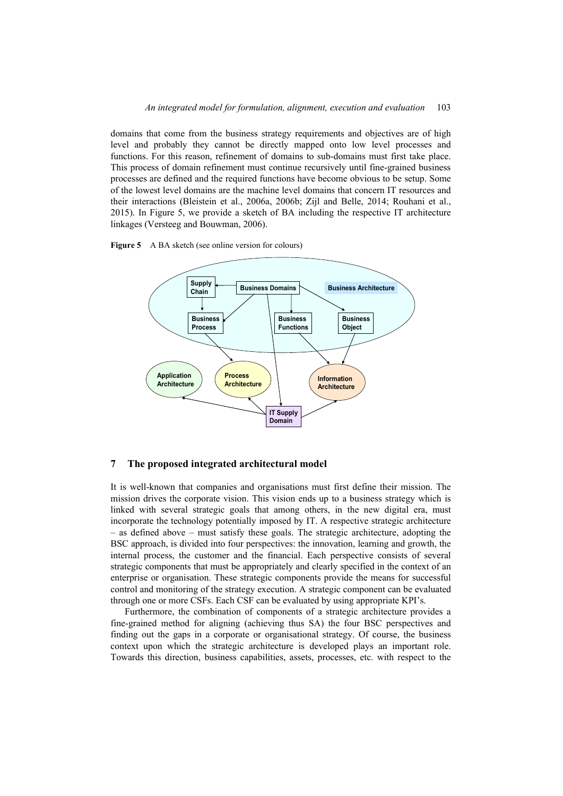domains that come from the business strategy requirements and objectives are of high level and probably they cannot be directly mapped onto low level processes and functions. For this reason, refinement of domains to sub-domains must first take place. This process of domain refinement must continue recursively until fine-grained business processes are defined and the required functions have become obvious to be setup. Some of the lowest level domains are the machine level domains that concern IT resources and their interactions (Bleistein et al., 2006a, 2006b; Zijl and Belle, 2014; Rouhani et al., 2015). In Figure 5, we provide a sketch of BA including the respective IT architecture linkages (Versteeg and Bouwman, 2006).





#### **7 The proposed integrated architectural model**

It is well-known that companies and organisations must first define their mission. The mission drives the corporate vision. This vision ends up to a business strategy which is linked with several strategic goals that among others, in the new digital era, must incorporate the technology potentially imposed by IT. A respective strategic architecture – as defined above – must satisfy these goals. The strategic architecture, adopting the BSC approach, is divided into four perspectives: the innovation, learning and growth, the internal process, the customer and the financial. Each perspective consists of several strategic components that must be appropriately and clearly specified in the context of an enterprise or organisation. These strategic components provide the means for successful control and monitoring of the strategy execution. A strategic component can be evaluated through one or more CSFs. Each CSF can be evaluated by using appropriate KPI's.

Furthermore, the combination of components of a strategic architecture provides a fine-grained method for aligning (achieving thus SA) the four BSC perspectives and finding out the gaps in a corporate or organisational strategy. Of course, the business context upon which the strategic architecture is developed plays an important role. Towards this direction, business capabilities, assets, processes, etc. with respect to the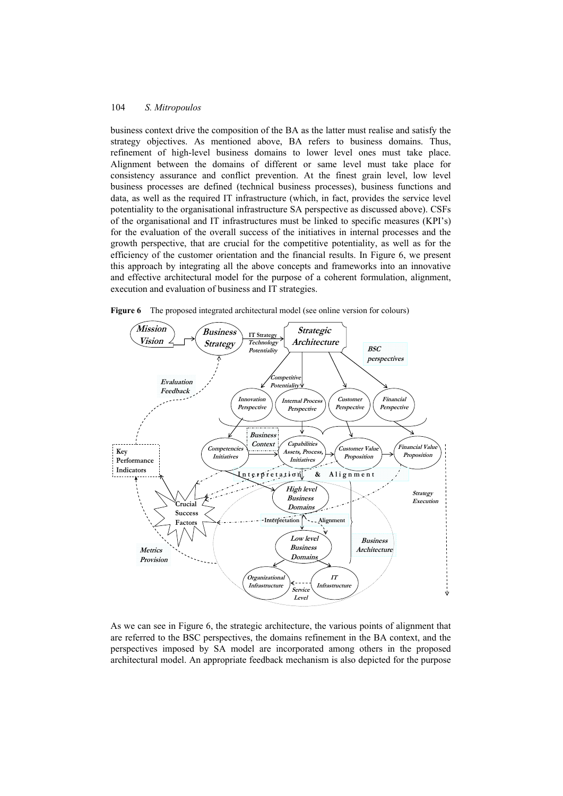business context drive the composition of the BA as the latter must realise and satisfy the strategy objectives. As mentioned above, BA refers to business domains. Thus, refinement of high-level business domains to lower level ones must take place. Alignment between the domains of different or same level must take place for consistency assurance and conflict prevention. At the finest grain level, low level business processes are defined (technical business processes), business functions and data, as well as the required IT infrastructure (which, in fact, provides the service level potentiality to the organisational infrastructure SA perspective as discussed above). CSFs of the organisational and IT infrastructures must be linked to specific measures (KPI's) for the evaluation of the overall success of the initiatives in internal processes and the growth perspective, that are crucial for the competitive potentiality, as well as for the efficiency of the customer orientation and the financial results. In Figure 6, we present this approach by integrating all the above concepts and frameworks into an innovative and effective architectural model for the purpose of a coherent formulation, alignment, execution and evaluation of business and IT strategies.



**Figure 6** The proposed integrated architectural model (see online version for colours)

As we can see in Figure 6, the strategic architecture, the various points of alignment that are referred to the BSC perspectives, the domains refinement in the BA context, and the perspectives imposed by SA model are incorporated among others in the proposed architectural model. An appropriate feedback mechanism is also depicted for the purpose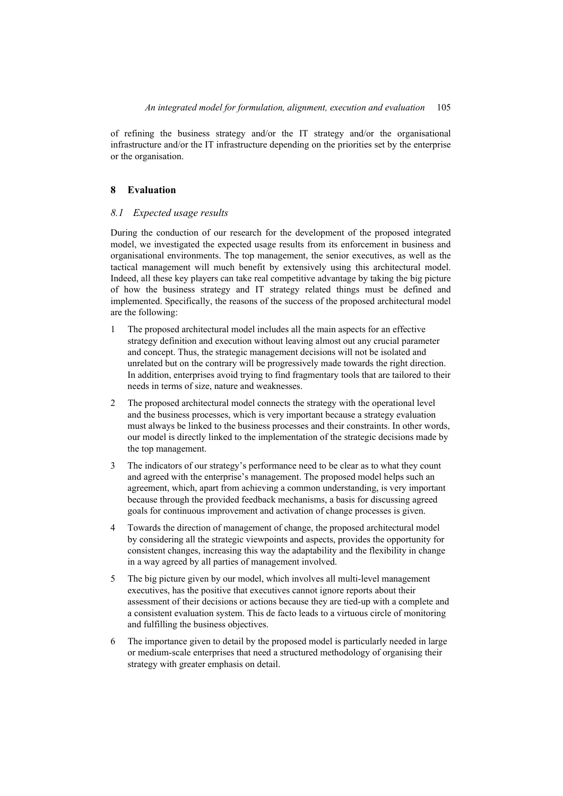of refining the business strategy and/or the IT strategy and/or the organisational infrastructure and/or the IT infrastructure depending on the priorities set by the enterprise or the organisation.

## **8 Evaluation**

## *8.1 Expected usage results*

During the conduction of our research for the development of the proposed integrated model, we investigated the expected usage results from its enforcement in business and organisational environments. The top management, the senior executives, as well as the tactical management will much benefit by extensively using this architectural model. Indeed, all these key players can take real competitive advantage by taking the big picture of how the business strategy and IT strategy related things must be defined and implemented. Specifically, the reasons of the success of the proposed architectural model are the following:

- 1 The proposed architectural model includes all the main aspects for an effective strategy definition and execution without leaving almost out any crucial parameter and concept. Thus, the strategic management decisions will not be isolated and unrelated but on the contrary will be progressively made towards the right direction. In addition, enterprises avoid trying to find fragmentary tools that are tailored to their needs in terms of size, nature and weaknesses.
- 2 The proposed architectural model connects the strategy with the operational level and the business processes, which is very important because a strategy evaluation must always be linked to the business processes and their constraints. In other words, our model is directly linked to the implementation of the strategic decisions made by the top management.
- 3 The indicators of our strategy's performance need to be clear as to what they count and agreed with the enterprise's management. The proposed model helps such an agreement, which, apart from achieving a common understanding, is very important because through the provided feedback mechanisms, a basis for discussing agreed goals for continuous improvement and activation of change processes is given.
- 4 Towards the direction of management of change, the proposed architectural model by considering all the strategic viewpoints and aspects, provides the opportunity for consistent changes, increasing this way the adaptability and the flexibility in change in a way agreed by all parties of management involved.
- 5 The big picture given by our model, which involves all multi-level management executives, has the positive that executives cannot ignore reports about their assessment of their decisions or actions because they are tied-up with a complete and a consistent evaluation system. This de facto leads to a virtuous circle of monitoring and fulfilling the business objectives.
- 6 The importance given to detail by the proposed model is particularly needed in large or medium-scale enterprises that need a structured methodology of organising their strategy with greater emphasis on detail.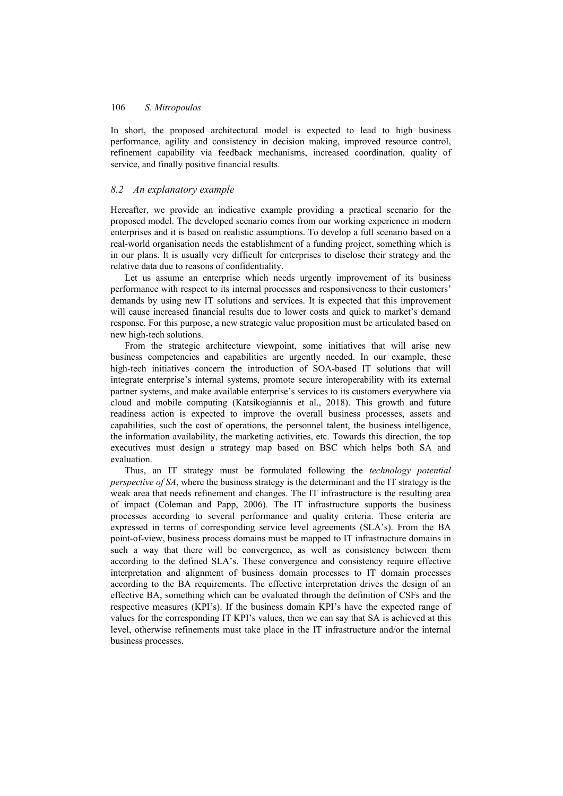In short, the proposed architectural model is expected to lead to high business performance, agility and consistency in decision making, improved resource control, refinement capability via feedback mechanisms, increased coordination, quality of service, and finally positive financial results.

## *8.2 An explanatory example*

Hereafter, we provide an indicative example providing a practical scenario for the proposed model. The developed scenario comes from our working experience in modern enterprises and it is based on realistic assumptions. To develop a full scenario based on a real-world organisation needs the establishment of a funding project, something which is in our plans. It is usually very difficult for enterprises to disclose their strategy and the relative data due to reasons of confidentiality.

Let us assume an enterprise which needs urgently improvement of its business performance with respect to its internal processes and responsiveness to their customers' demands by using new IT solutions and services. It is expected that this improvement will cause increased financial results due to lower costs and quick to market's demand response. For this purpose, a new strategic value proposition must be articulated based on new high-tech solutions.

From the strategic architecture viewpoint, some initiatives that will arise new business competencies and capabilities are urgently needed. In our example, these high-tech initiatives concern the introduction of SOA-based IT solutions that will integrate enterprise's internal systems, promote secure interoperability with its external partner systems, and make available enterprise's services to its customers everywhere via cloud and mobile computing (Katsikogiannis et al., 2018). This growth and future readiness action is expected to improve the overall business processes, assets and capabilities, such the cost of operations, the personnel talent, the business intelligence, the information availability, the marketing activities, etc. Towards this direction, the top executives must design a strategy map based on BSC which helps both SA and evaluation.

Thus, an IT strategy must be formulated following the *technology potential perspective of SA*, where the business strategy is the determinant and the IT strategy is the weak area that needs refinement and changes. The IT infrastructure is the resulting area of impact (Coleman and Papp, 2006). The IT infrastructure supports the business processes according to several performance and quality criteria. These criteria are expressed in terms of corresponding service level agreements (SLA's). From the BA point-of-view, business process domains must be mapped to IT infrastructure domains in such a way that there will be convergence, as well as consistency between them according to the defined SLA's. These convergence and consistency require effective interpretation and alignment of business domain processes to IT domain processes according to the BA requirements. The effective interpretation drives the design of an effective BA, something which can be evaluated through the definition of CSFs and the respective measures (KPI's). If the business domain KPI's have the expected range of values for the corresponding IT KPI's values, then we can say that SA is achieved at this level, otherwise refinements must take place in the IT infrastructure and/or the internal business processes.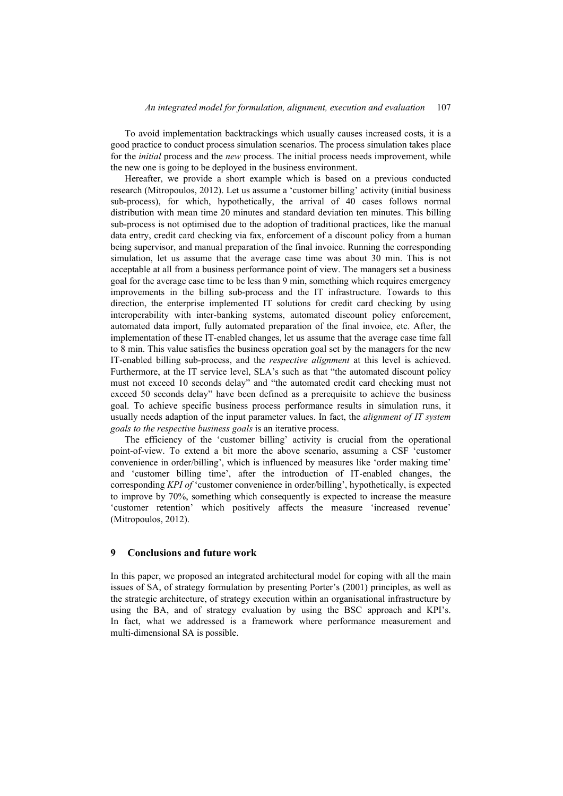To avoid implementation backtrackings which usually causes increased costs, it is a good practice to conduct process simulation scenarios. The process simulation takes place for the *initial* process and the *new* process. The initial process needs improvement, while the new one is going to be deployed in the business environment.

Hereafter, we provide a short example which is based on a previous conducted research (Mitropoulos, 2012). Let us assume a 'customer billing' activity (initial business sub-process), for which, hypothetically, the arrival of 40 cases follows normal distribution with mean time 20 minutes and standard deviation ten minutes. This billing sub-process is not optimised due to the adoption of traditional practices, like the manual data entry, credit card checking via fax, enforcement of a discount policy from a human being supervisor, and manual preparation of the final invoice. Running the corresponding simulation, let us assume that the average case time was about 30 min. This is not acceptable at all from a business performance point of view. The managers set a business goal for the average case time to be less than 9 min, something which requires emergency improvements in the billing sub-process and the IT infrastructure. Towards to this direction, the enterprise implemented IT solutions for credit card checking by using interoperability with inter-banking systems, automated discount policy enforcement, automated data import, fully automated preparation of the final invoice, etc. After, the implementation of these IT-enabled changes, let us assume that the average case time fall to 8 min. This value satisfies the business operation goal set by the managers for the new IT-enabled billing sub-process, and the *respective alignment* at this level is achieved. Furthermore, at the IT service level, SLA's such as that "the automated discount policy must not exceed 10 seconds delay" and "the automated credit card checking must not exceed 50 seconds delay" have been defined as a prerequisite to achieve the business goal. To achieve specific business process performance results in simulation runs, it usually needs adaption of the input parameter values. In fact, the *alignment of IT system goals to the respective business goals* is an iterative process.

The efficiency of the 'customer billing' activity is crucial from the operational point-of-view. To extend a bit more the above scenario, assuming a CSF 'customer convenience in order/billing', which is influenced by measures like 'order making time' and 'customer billing time', after the introduction of IT-enabled changes, the corresponding *KPI of* 'customer convenience in order/billing', hypothetically, is expected to improve by 70%, something which consequently is expected to increase the measure 'customer retention' which positively affects the measure 'increased revenue' (Mitropoulos, 2012).

#### **9 Conclusions and future work**

In this paper, we proposed an integrated architectural model for coping with all the main issues of SA, of strategy formulation by presenting Porter's (2001) principles, as well as the strategic architecture, of strategy execution within an organisational infrastructure by using the BA, and of strategy evaluation by using the BSC approach and KPI's. In fact, what we addressed is a framework where performance measurement and multi-dimensional SA is possible.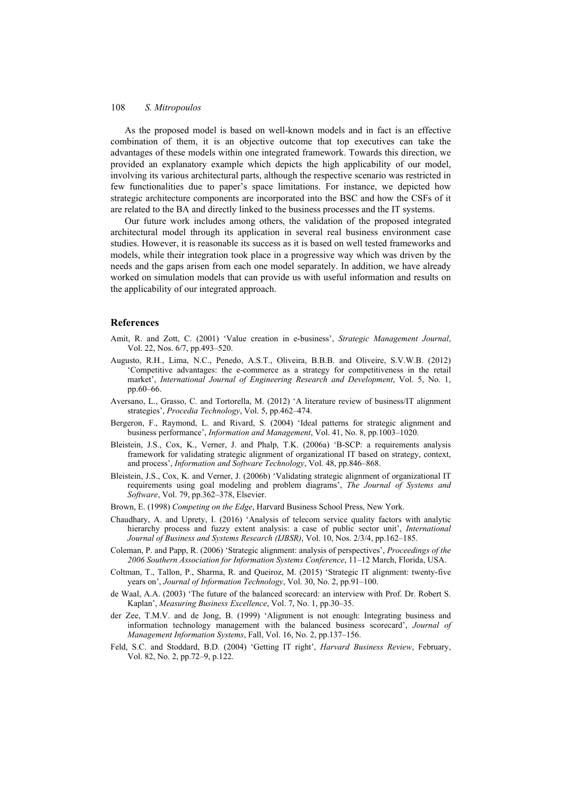As the proposed model is based on well-known models and in fact is an effective combination of them, it is an objective outcome that top executives can take the advantages of these models within one integrated framework. Towards this direction, we provided an explanatory example which depicts the high applicability of our model, involving its various architectural parts, although the respective scenario was restricted in few functionalities due to paper's space limitations. For instance, we depicted how strategic architecture components are incorporated into the BSC and how the CSFs of it are related to the BA and directly linked to the business processes and the IT systems.

Our future work includes among others, the validation of the proposed integrated architectural model through its application in several real business environment case studies. However, it is reasonable its success as it is based on well tested frameworks and models, while their integration took place in a progressive way which was driven by the needs and the gaps arisen from each one model separately. In addition, we have already worked on simulation models that can provide us with useful information and results on the applicability of our integrated approach.

### **References**

- Amit, R. and Zott, C. (2001) 'Value creation in e-business', *Strategic Management Journal*, Vol. 22, Nos. 6/7, pp.493–520.
- Augusto, R.H., Lima, N.C., Penedo, A.S.T., Oliveira, B.B.B. and Oliveire, S.V.W.B. (2012) 'Competitive advantages: the e-commerce as a strategy for competitiveness in the retail market', *International Journal of Engineering Research and Development*, Vol. 5, No. 1, pp.60–66.
- Aversano, L., Grasso, C. and Tortorella, M. (2012) 'A literature review of business/IT alignment strategies', *Procedia Technology*, Vol. 5, pp.462–474.
- Bergeron, F., Raymond, L. and Rivard, S. (2004) 'Ideal patterns for strategic alignment and business performance', *Information and Management*, Vol. 41, No. 8, pp.1003–1020.
- Bleistein, J.S., Cox, K., Verner, J. and Phalp, T.K. (2006a) 'B-SCP: a requirements analysis framework for validating strategic alignment of organizational IT based on strategy, context, and process', *Information and Software Technology*, Vol. 48, pp.846–868.
- Bleistein, J.S., Cox, K. and Verner, J. (2006b) 'Validating strategic alignment of organizational IT requirements using goal modeling and problem diagrams', *The Journal of Systems and Software*, Vol. 79, pp.362–378, Elsevier.
- Brown, E. (1998) *Competing on the Edge*, Harvard Business School Press, New York.
- Chaudhary, A. and Uprety, I. (2016) 'Analysis of telecom service quality factors with analytic hierarchy process and fuzzy extent analysis: a case of public sector unit', *International Journal of Business and Systems Research (IJBSR)*, Vol. 10, Nos. 2/3/4, pp.162–185.
- Coleman, P. and Papp, R. (2006) 'Strategic alignment: analysis of perspectives', *Proceedings of the 2006 Southern Association for Information Systems Conference*, 11–12 March, Florida, USA.
- Coltman, T., Tallon, P., Sharma, R. and Queiroz, M. (2015) 'Strategic IT alignment: twenty-five years on', *Journal of Information Technology*, Vol. 30, No. 2, pp.91–100.
- de Waal, A.A. (2003) 'The future of the balanced scorecard: an interview with Prof. Dr. Robert S. Kaplan', *Measuring Business Excellence*, Vol. 7, No. 1, pp.30–35.
- der Zee, T.M.V. and de Jong, B. (1999) 'Alignment is not enough: Integrating business and information technology management with the balanced business scorecard', *Journal of Management Information Systems*, Fall, Vol. 16, No. 2, pp.137–156.
- Feld, S.C. and Stoddard, B.D. (2004) 'Getting IT right', *Harvard Business Review*, February, Vol. 82, No. 2, pp.72–9, p.122.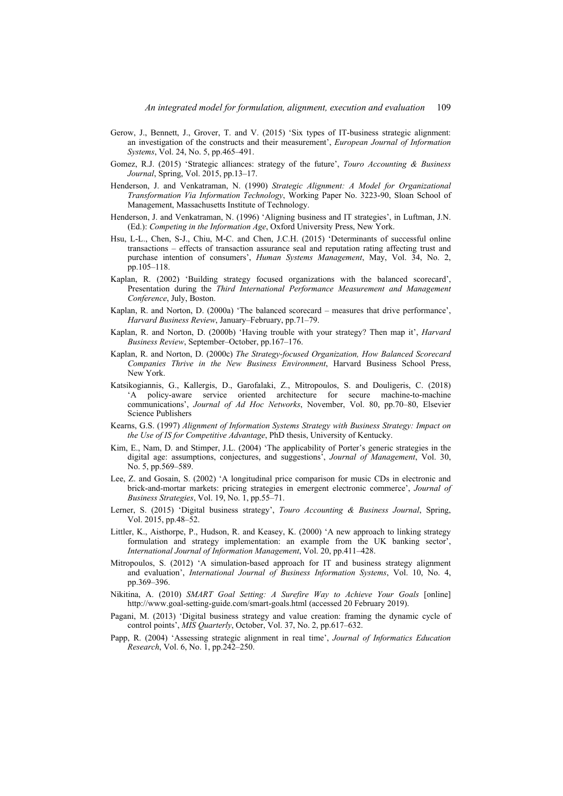- Gerow, J., Bennett, J., Grover, T. and V. (2015) 'Six types of IT-business strategic alignment: an investigation of the constructs and their measurement', *European Journal of Information Systems*, Vol. 24, No. 5, pp.465–491.
- Gomez, R.J. (2015) 'Strategic alliances: strategy of the future', *Touro Accounting & Business Journal*, Spring, Vol. 2015, pp.13–17.
- Henderson, J. and Venkatraman, N. (1990) *Strategic Alignment: A Model for Organizational Transformation Via Information Technology*, Working Paper No. 3223-90, Sloan School of Management, Massachusetts Institute of Technology.
- Henderson, J. and Venkatraman, N. (1996) 'Aligning business and IT strategies', in Luftman, J.N. (Ed.): *Competing in the Information Age*, Oxford University Press, New York.
- Hsu, L-L., Chen, S-J., Chiu, M-C. and Chen, J.C.H. (2015) 'Determinants of successful online transactions – effects of transaction assurance seal and reputation rating affecting trust and purchase intention of consumers', *Human Systems Management*, May, Vol. 34, No. 2, pp.105–118.
- Kaplan, R. (2002) 'Building strategy focused organizations with the balanced scorecard', Presentation during the *Third International Performance Measurement and Management Conference*, July, Boston.
- Kaplan, R. and Norton, D. (2000a) 'The balanced scorecard measures that drive performance', *Harvard Business Review*, January–February, pp.71–79.
- Kaplan, R. and Norton, D. (2000b) 'Having trouble with your strategy? Then map it', *Harvard Business Review*, September–October, pp.167–176.
- Kaplan, R. and Norton, D. (2000c) *The Strategy-focused Organization, How Balanced Scorecard Companies Thrive in the New Business Environment*, Harvard Business School Press, New York.
- Katsikogiannis, G., Kallergis, D., Garofalaki, Z., Mitropoulos, S. and Douligeris, C. (2018) 'A policy-aware service oriented architecture for secure machine-to-machine communications', *Journal of Ad Hoc Networks*, November, Vol. 80, pp.70–80, Elsevier Science Publishers
- Kearns, G.S. (1997) *Alignment of Information Systems Strategy with Business Strategy: Impact on the Use of IS for Competitive Advantage*, PhD thesis, University of Kentucky.
- Kim, E., Nam, D. and Stimper, J.L. (2004) 'The applicability of Porter's generic strategies in the digital age: assumptions, conjectures, and suggestions', *Journal of Management*, Vol. 30, No. 5, pp.569–589.
- Lee, Z. and Gosain, S. (2002) 'A longitudinal price comparison for music CDs in electronic and brick-and-mortar markets: pricing strategies in emergent electronic commerce', *Journal of Business Strategies*, Vol. 19, No. 1, pp.55–71.
- Lerner, S. (2015) 'Digital business strategy', *Touro Accounting & Business Journal*, Spring, Vol. 2015, pp.48–52.
- Littler, K., Aisthorpe, P., Hudson, R. and Keasey, K. (2000) 'A new approach to linking strategy formulation and strategy implementation: an example from the UK banking sector', *International Journal of Information Management*, Vol. 20, pp.411–428.
- Mitropoulos, S. (2012) 'A simulation-based approach for IT and business strategy alignment and evaluation', *International Journal of Business Information Systems*, Vol. 10, No. 4, pp.369–396.
- Nikitina, A. (2010) *SMART Goal Setting: A Surefire Way to Achieve Your Goals* [online] http://www.goal-setting-guide.com/smart-goals.html (accessed 20 February 2019).
- Pagani, M. (2013) 'Digital business strategy and value creation: framing the dynamic cycle of control points', *MIS Quarterly*, October, Vol. 37, No. 2, pp.617–632.
- Papp, R. (2004) 'Assessing strategic alignment in real time', *Journal of Informatics Education Research*, Vol. 6, No. 1, pp.242–250.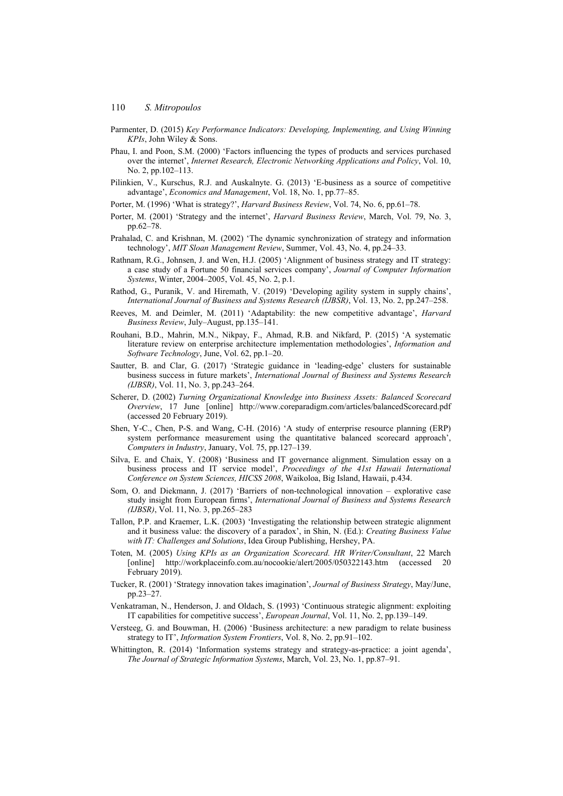- Parmenter, D. (2015) *Key Performance Indicators: Developing, Implementing, and Using Winning KPIs*, John Wiley & Sons.
- Phau, I. and Poon, S.M. (2000) 'Factors influencing the types of products and services purchased over the internet', *Internet Research, Electronic Networking Applications and Policy*, Vol. 10, No. 2, pp.102–113.
- Pilinkien, V., Kurschus, R.J. and Auskalnyte. G. (2013) 'E-business as a source of competitive advantage', *Economics and Management*, Vol. 18, No. 1, pp.77–85.
- Porter, M. (1996) 'What is strategy?', *Harvard Business Review*, Vol. 74, No. 6, pp.61–78.
- Porter, M. (2001) 'Strategy and the internet', *Harvard Business Review*, March, Vol. 79, No. 3, pp.62–78.
- Prahalad, C. and Krishnan, M. (2002) 'The dynamic synchronization of strategy and information technology', *MIT Sloan Management Review*, Summer, Vol. 43, No. 4, pp.24–33.
- Rathnam, R.G., Johnsen, J. and Wen, H.J. (2005) 'Alignment of business strategy and IT strategy: a case study of a Fortune 50 financial services company', *Journal of Computer Information Systems*, Winter, 2004–2005, Vol. 45, No. 2, p.1.
- Rathod, G., Puranik, V. and Hiremath, V. (2019) 'Developing agility system in supply chains', *International Journal of Business and Systems Research (IJBSR)*, Vol. 13, No. 2, pp.247–258.
- Reeves, M. and Deimler, M. (2011) 'Adaptability: the new competitive advantage', *Harvard Business Review*, July–August, pp.135–141.
- Rouhani, B.D., Mahrin, M.N., Nikpay, F., Ahmad, R.B. and Nikfard, P. (2015) 'A systematic literature review on enterprise architecture implementation methodologies', *Information and Software Technology*, June, Vol. 62, pp.1–20.
- Sautter, B. and Clar, G. (2017) 'Strategic guidance in 'leading-edge' clusters for sustainable business success in future markets', *International Journal of Business and Systems Research (IJBSR)*, Vol. 11, No. 3, pp.243–264.
- Scherer, D. (2002) *Turning Organizational Knowledge into Business Assets: Balanced Scorecard Overview*, 17 June [online] http://www.coreparadigm.com/articles/balancedScorecard.pdf (accessed 20 February 2019).
- Shen, Y-C., Chen, P-S. and Wang, C-H. (2016) 'A study of enterprise resource planning (ERP) system performance measurement using the quantitative balanced scorecard approach', *Computers in Industry*, January, Vol. 75, pp.127–139.
- Silva, E. and Chaix, Y. (2008) 'Business and IT governance alignment. Simulation essay on a business process and IT service model', *Proceedings of the 41st Hawaii International Conference on System Sciences, HICSS 2008*, Waikoloa, Big Island, Hawaii, p.434.
- Som, O. and Diekmann, J. (2017) 'Barriers of non-technological innovation explorative case study insight from European firms', *International Journal of Business and Systems Research (IJBSR)*, Vol. 11, No. 3, pp.265–283
- Tallon, P.P. and Kraemer, L.K. (2003) 'Investigating the relationship between strategic alignment and it business value: the discovery of a paradox', in Shin, N. (Ed.): *Creating Business Value with IT: Challenges and Solutions*, Idea Group Publishing, Hershey, PA.
- Toten, M. (2005) *Using KPIs as an Organization Scorecard. HR Writer/Consultant*, 22 March [online] http://workplaceinfo.com.au/nocookie/alert/2005/050322143.htm (accessed 20 February 2019).
- Tucker, R. (2001) 'Strategy innovation takes imagination', *Journal of Business Strategy*, May/June, pp.23–27.
- Venkatraman, N., Henderson, J. and Oldach, S. (1993) 'Continuous strategic alignment: exploiting IT capabilities for competitive success', *European Journal*, Vol. 11, No. 2, pp.139–149.
- Versteeg, G. and Bouwman, H. (2006) 'Business architecture: a new paradigm to relate business strategy to IT', *Information System Frontiers*, Vol. 8, No. 2, pp.91–102.
- Whittington, R. (2014) 'Information systems strategy and strategy-as-practice: a joint agenda', *The Journal of Strategic Information Systems*, March, Vol. 23, No. 1, pp.87–91.